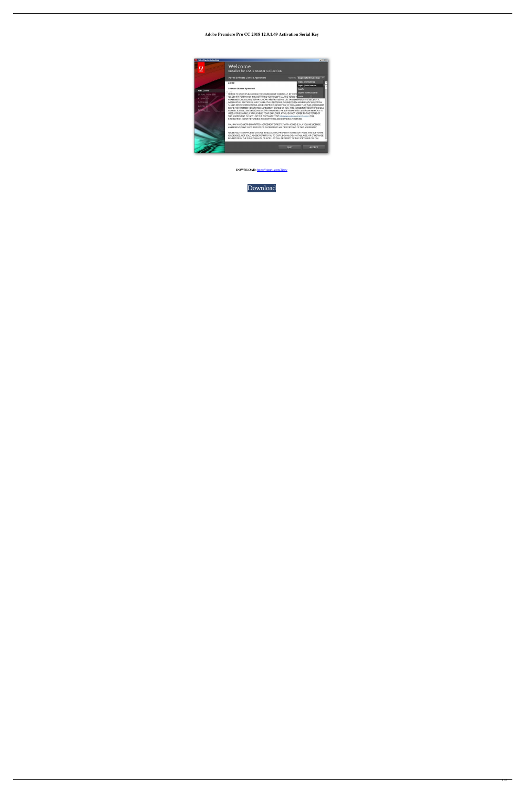## **Adobe Premiere Pro CC 2018 12.0.1.69 Activation Serial Key**



**DOWNLOAD:** <https://tinurli.com/2irtrv>